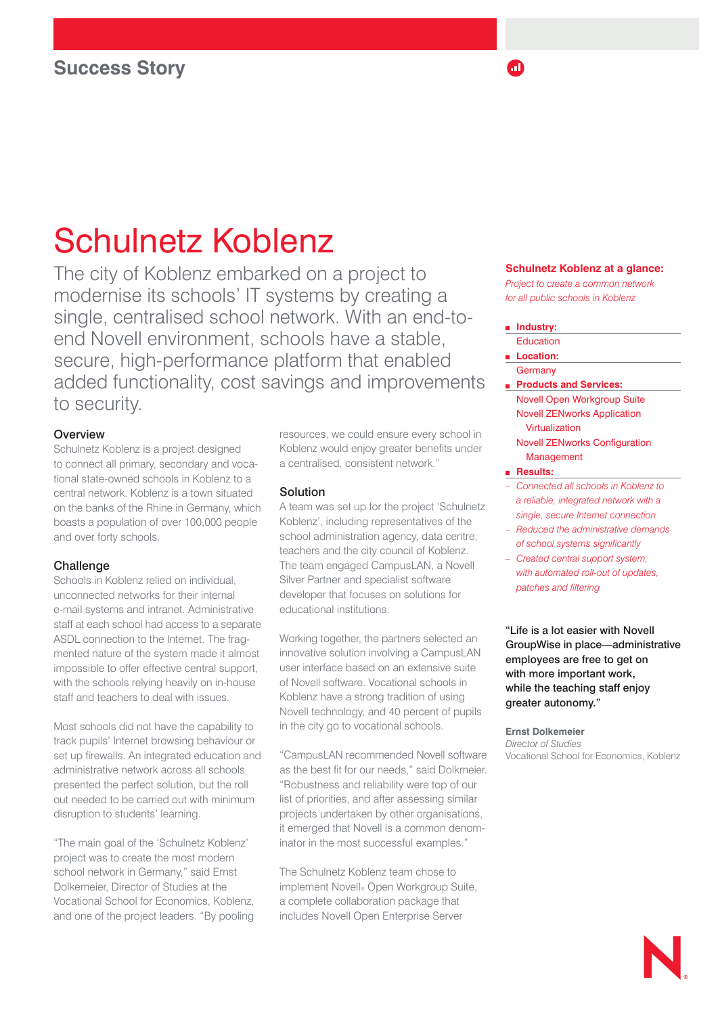# Schulnetz Koblenz

The city of Koblenz embarked on a project to modernise its schools' IT systems by creating a single, centralised school network. With an end-toend Novell environment, schools have a stable, secure, high-performance platform that enabled added functionality, cost savings and improvements to security.

## **Overview**

Schulnetz Koblenz is a project designed to connect all primary, secondary and vocational state-owned schools in Koblenz to a central network. Koblenz is a town situated on the banks of the Rhine in Germany, which boasts a population of over 100,000 people and over forty schools.

### **Challenge**

Schools in Koblenz relied on individual, unconnected networks for their internal e-mail systems and intranet. Administrative staff at each school had access to a separate ASDL connection to the Internet. The fragmented nature of the system made it almost impossible to offer effective central support, with the schools relying heavily on in-house staff and teachers to deal with issues.

Most schools did not have the capability to track pupils' Internet browsing behaviour or set up firewalls. An integrated education and administrative network across all schools presented the perfect solution, but the roll out needed to be carried out with minimum disruption to students' learning.

"The main goal of the 'Schulnetz Koblenz' project was to create the most modern school network in Germany," said Ernst Dolkemeier, Director of Studies at the Vocational School for Economics, Koblenz, and one of the project leaders. "By pooling resources, we could ensure every school in Koblenz would enjoy greater benefits under a centralised, consistent network."

### Solution

A team was set up for the project 'Schulnetz Koblenz', including representatives of the school administration agency, data centre, teachers and the city council of Koblenz. The team engaged CampusLAN, a Novell Silver Partner and specialist software developer that focuses on solutions for educational institutions.

Working together, the partners selected an innovative solution involving a CampusLAN user interface based on an extensive suite of Novell software. Vocational schools in Koblenz have a strong tradition of using Novell technology, and 40 percent of pupils in the city go to vocational schools.

"CampusLAN recommended Novell software as the best fit for our needs," said Dolkmeier. "Robustness and reliability were top of our list of priorities, and after assessing similar projects undertaken by other organisations, it emerged that Novell is a common denominator in the most successful examples."

The Schulnetz Koblenz team chose to implement Novell® Open Workgroup Suite, a complete collaboration package that includes Novell Open Enterprise Server

#### **Schulnetz Koblenz at a glance:**

m

*Project to create a common network for all public schools in Koblenz* 

**Industry:** Education **Location: Germany Products and Services:**  Novell Open Workgroup Suite Novell ZENworks Application Virtualization Novell ZENworks Configuration Management **Results:**  *– Connected all schools in Koblenz to a reliable, integrated network with a single, secure Internet connection – Reduced the administrative demands of school systems significantly – Created central support system, with automated roll-out of updates,* 

*patches and filtering*

"Life is a lot easier with Novell GroupWise in place—administrative employees are free to get on with more important work, while the teaching staff enjoy greater autonomy."

**Ernst Dolkemeier** *Director of Studies*  Vocational School for Economics, Koblenz